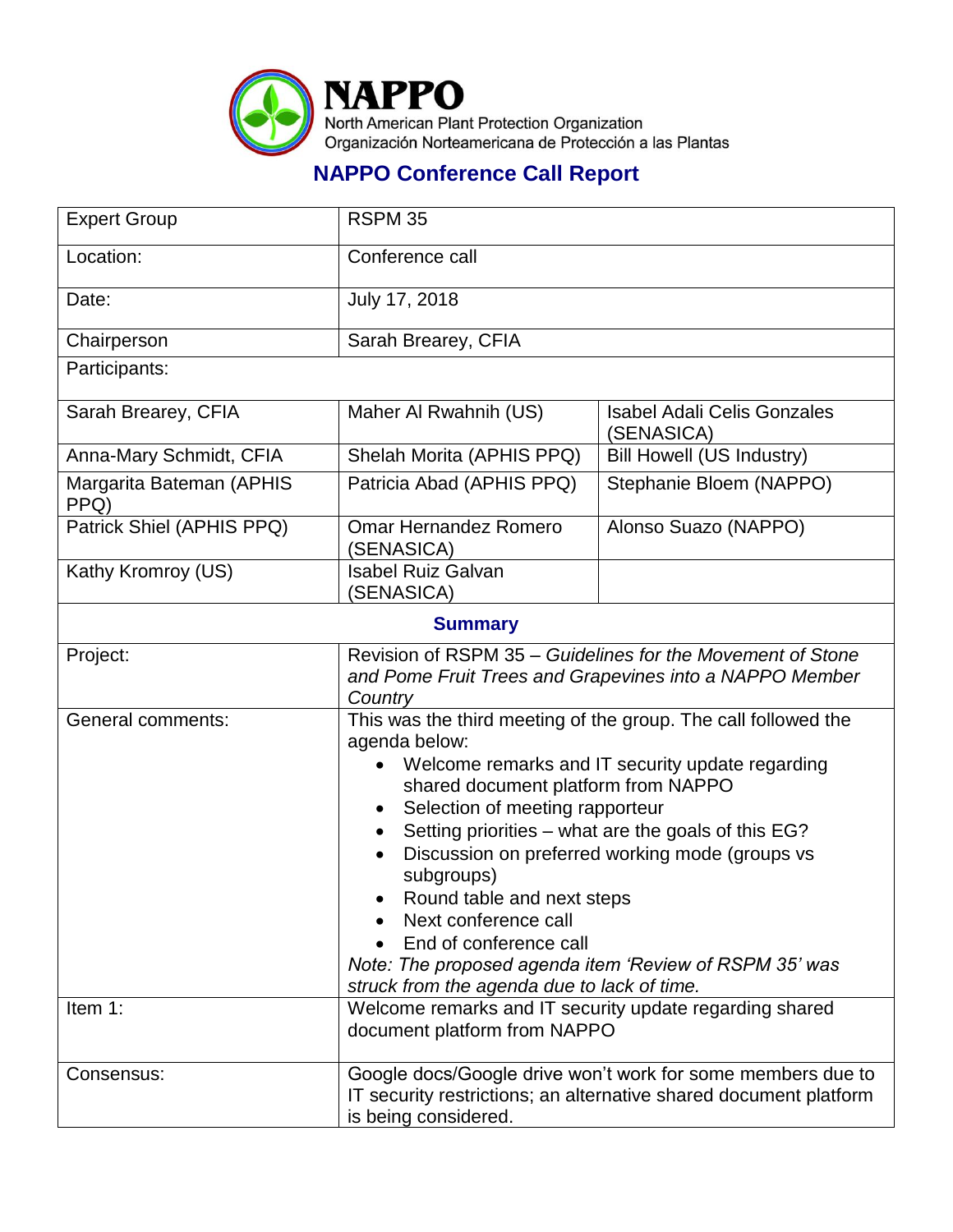

## **NAPPO Conference Call Report**

| <b>Expert Group</b>              | RSPM 35                                                                                                                                                                                                                                                                                                                                                                                                                                                                                                                        |                                                  |
|----------------------------------|--------------------------------------------------------------------------------------------------------------------------------------------------------------------------------------------------------------------------------------------------------------------------------------------------------------------------------------------------------------------------------------------------------------------------------------------------------------------------------------------------------------------------------|--------------------------------------------------|
| Location:                        | Conference call                                                                                                                                                                                                                                                                                                                                                                                                                                                                                                                |                                                  |
| Date:                            | July 17, 2018                                                                                                                                                                                                                                                                                                                                                                                                                                                                                                                  |                                                  |
| Chairperson                      | Sarah Brearey, CFIA                                                                                                                                                                                                                                                                                                                                                                                                                                                                                                            |                                                  |
| Participants:                    |                                                                                                                                                                                                                                                                                                                                                                                                                                                                                                                                |                                                  |
| Sarah Brearey, CFIA              | Maher Al Rwahnih (US)                                                                                                                                                                                                                                                                                                                                                                                                                                                                                                          | <b>Isabel Adali Celis Gonzales</b><br>(SENASICA) |
| Anna-Mary Schmidt, CFIA          | Shelah Morita (APHIS PPQ)                                                                                                                                                                                                                                                                                                                                                                                                                                                                                                      | <b>Bill Howell (US Industry)</b>                 |
| Margarita Bateman (APHIS<br>PPQ) | Patricia Abad (APHIS PPQ)                                                                                                                                                                                                                                                                                                                                                                                                                                                                                                      | Stephanie Bloem (NAPPO)                          |
| Patrick Shiel (APHIS PPQ)        | <b>Omar Hernandez Romero</b><br>(SENASICA)                                                                                                                                                                                                                                                                                                                                                                                                                                                                                     | Alonso Suazo (NAPPO)                             |
| Kathy Kromroy (US)               | <b>Isabel Ruiz Galvan</b><br>(SENASICA)                                                                                                                                                                                                                                                                                                                                                                                                                                                                                        |                                                  |
| <b>Summary</b>                   |                                                                                                                                                                                                                                                                                                                                                                                                                                                                                                                                |                                                  |
| Project:                         | Revision of RSPM 35 – Guidelines for the Movement of Stone<br>and Pome Fruit Trees and Grapevines into a NAPPO Member<br>Country                                                                                                                                                                                                                                                                                                                                                                                               |                                                  |
| General comments:                | This was the third meeting of the group. The call followed the<br>agenda below:<br>Welcome remarks and IT security update regarding<br>shared document platform from NAPPO<br>Selection of meeting rapporteur<br>Setting priorities - what are the goals of this EG?<br>Discussion on preferred working mode (groups vs<br>subgroups)<br>Round table and next steps<br>Next conference call<br>End of conference call<br>Note: The proposed agenda item 'Review of RSPM 35' was<br>struck from the agenda due to lack of time. |                                                  |
| Item 1:                          | Welcome remarks and IT security update regarding shared<br>document platform from NAPPO                                                                                                                                                                                                                                                                                                                                                                                                                                        |                                                  |
| Consensus:                       | Google docs/Google drive won't work for some members due to<br>IT security restrictions; an alternative shared document platform<br>is being considered.                                                                                                                                                                                                                                                                                                                                                                       |                                                  |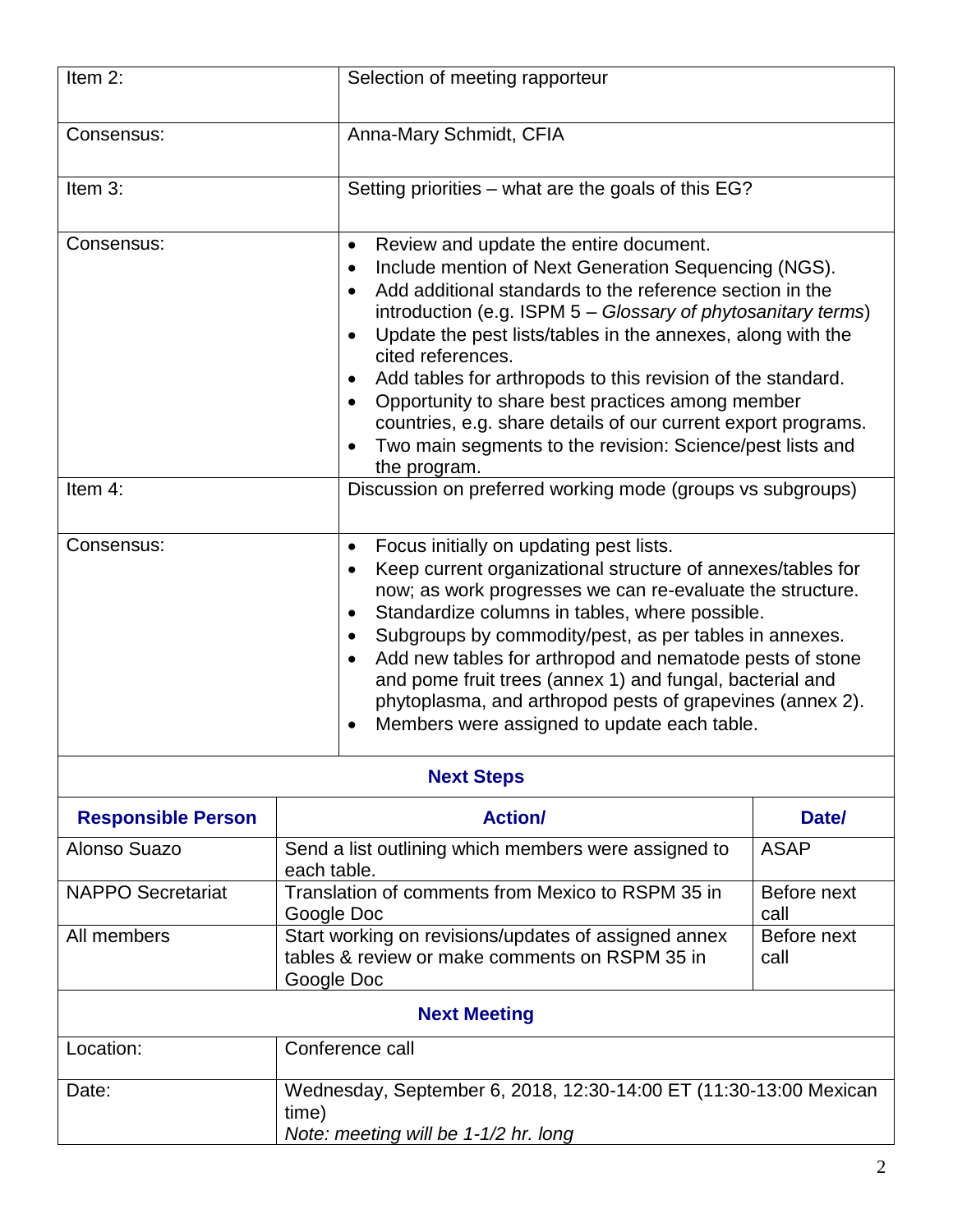| Item 2:                   | Selection of meeting rapporteur                                                                                                                                                                                                                                                                                                                                                                                                                                                                                                                                                      |                                                                                                                                                                                                                                                                                                                                                                                                                                                                                                    |  |  |
|---------------------------|--------------------------------------------------------------------------------------------------------------------------------------------------------------------------------------------------------------------------------------------------------------------------------------------------------------------------------------------------------------------------------------------------------------------------------------------------------------------------------------------------------------------------------------------------------------------------------------|----------------------------------------------------------------------------------------------------------------------------------------------------------------------------------------------------------------------------------------------------------------------------------------------------------------------------------------------------------------------------------------------------------------------------------------------------------------------------------------------------|--|--|
| Consensus:                | Anna-Mary Schmidt, CFIA                                                                                                                                                                                                                                                                                                                                                                                                                                                                                                                                                              |                                                                                                                                                                                                                                                                                                                                                                                                                                                                                                    |  |  |
| Item 3:                   | Setting priorities – what are the goals of this EG?                                                                                                                                                                                                                                                                                                                                                                                                                                                                                                                                  |                                                                                                                                                                                                                                                                                                                                                                                                                                                                                                    |  |  |
| Consensus:                | Review and update the entire document.<br>$\bullet$<br>$\bullet$<br>$\bullet$<br>$\bullet$<br>cited references.<br>$\bullet$<br>the program.                                                                                                                                                                                                                                                                                                                                                                                                                                         | Include mention of Next Generation Sequencing (NGS).<br>Add additional standards to the reference section in the<br>introduction (e.g. ISPM $5 - Glossary$ of phytosanitary terms)<br>Update the pest lists/tables in the annexes, along with the<br>Add tables for arthropods to this revision of the standard.<br>Opportunity to share best practices among member<br>countries, e.g. share details of our current export programs.<br>Two main segments to the revision: Science/pest lists and |  |  |
| Item 4:                   | Discussion on preferred working mode (groups vs subgroups)                                                                                                                                                                                                                                                                                                                                                                                                                                                                                                                           |                                                                                                                                                                                                                                                                                                                                                                                                                                                                                                    |  |  |
| Consensus:                | Focus initially on updating pest lists.<br>$\bullet$<br>Keep current organizational structure of annexes/tables for<br>$\bullet$<br>now; as work progresses we can re-evaluate the structure.<br>Standardize columns in tables, where possible.<br>$\bullet$<br>Subgroups by commodity/pest, as per tables in annexes.<br>$\bullet$<br>Add new tables for arthropod and nematode pests of stone<br>$\bullet$<br>and pome fruit trees (annex 1) and fungal, bacterial and<br>phytoplasma, and arthropod pests of grapevines (annex 2).<br>Members were assigned to update each table. |                                                                                                                                                                                                                                                                                                                                                                                                                                                                                                    |  |  |
| <b>Next Steps</b>         |                                                                                                                                                                                                                                                                                                                                                                                                                                                                                                                                                                                      |                                                                                                                                                                                                                                                                                                                                                                                                                                                                                                    |  |  |
| <b>Responsible Person</b> | <b>Action/</b>                                                                                                                                                                                                                                                                                                                                                                                                                                                                                                                                                                       | Date/                                                                                                                                                                                                                                                                                                                                                                                                                                                                                              |  |  |
| Alonso Suazo              | Send a list outlining which members were assigned to<br>each table.                                                                                                                                                                                                                                                                                                                                                                                                                                                                                                                  | <b>ASAP</b>                                                                                                                                                                                                                                                                                                                                                                                                                                                                                        |  |  |
| <b>NAPPO Secretariat</b>  | Translation of comments from Mexico to RSPM 35 in<br>Google Doc                                                                                                                                                                                                                                                                                                                                                                                                                                                                                                                      | Before next<br>call                                                                                                                                                                                                                                                                                                                                                                                                                                                                                |  |  |
| All members               | Start working on revisions/updates of assigned annex<br>Before next<br>tables & review or make comments on RSPM 35 in<br>call<br>Google Doc                                                                                                                                                                                                                                                                                                                                                                                                                                          |                                                                                                                                                                                                                                                                                                                                                                                                                                                                                                    |  |  |
| <b>Next Meeting</b>       |                                                                                                                                                                                                                                                                                                                                                                                                                                                                                                                                                                                      |                                                                                                                                                                                                                                                                                                                                                                                                                                                                                                    |  |  |
| Location:                 | Conference call                                                                                                                                                                                                                                                                                                                                                                                                                                                                                                                                                                      |                                                                                                                                                                                                                                                                                                                                                                                                                                                                                                    |  |  |
| Date:                     | Wednesday, September 6, 2018, 12:30-14:00 ET (11:30-13:00 Mexican<br>time)<br>Note: meeting will be 1-1/2 hr. long                                                                                                                                                                                                                                                                                                                                                                                                                                                                   |                                                                                                                                                                                                                                                                                                                                                                                                                                                                                                    |  |  |